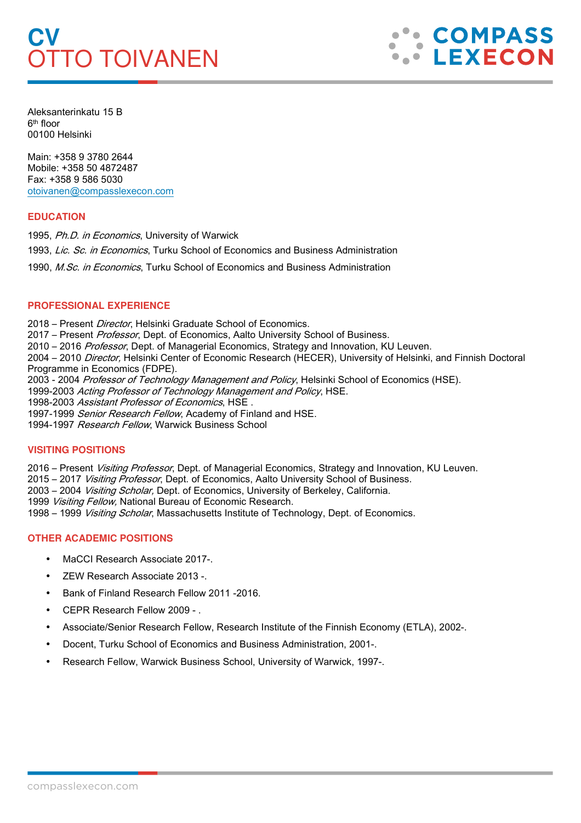# **CV**  OTTO TOIVANEN



Aleksanterinkatu 15 B 6th floor 00100 Helsinki

Main: +358 9 3780 2644 Mobile: +358 50 4872487 Fax: +358 9 586 5030 otoivanen@compasslexecon.com

## **EDUCATION**

1995, Ph.D. in Economics, University of Warwick 1993, Lic. Sc. in Economics, Turku School of Economics and Business Administration 1990, M.Sc. in Economics, Turku School of Economics and Business Administration

## **PROFESSIONAL EXPERIENCE**

2018 – Present Director, Helsinki Graduate School of Economics.

2017 – Present Professor, Dept. of Economics, Aalto University School of Business.

2010 – 2016 Professor, Dept. of Managerial Economics, Strategy and Innovation, KU Leuven.

2004 – 2010 Director, Helsinki Center of Economic Research (HECER), University of Helsinki, and Finnish Doctoral Programme in Economics (FDPE).

2003 - 2004 Professor of Technology Management and Policy, Helsinki School of Economics (HSE).

1999-2003 Acting Professor of Technology Management and Policy, HSE.

1998-2003 Assistant Professor of Economics, HSE.

1997-1999 Senior Research Fellow, Academy of Finland and HSE.

1994-1997 Research Fellow, Warwick Business School

## **VISITING POSITIONS**

2016 – Present *Visiting Professor*, Dept. of Managerial Economics, Strategy and Innovation, KU Leuven.

2015 – 2017 Visiting Professor, Dept. of Economics, Aalto University School of Business.

2003 – 2004 Visiting Scholar, Dept. of Economics, University of Berkeley, California.

1999 Visiting Fellow, National Bureau of Economic Research.

1998 – 1999 Visiting Scholar, Massachusetts Institute of Technology, Dept. of Economics.

# **OTHER ACADEMIC POSITIONS**

- MaCCI Research Associate 2017-.
- ZEW Research Associate 2013 -.
- Bank of Finland Research Fellow 2011 -2016.
- CEPR Research Fellow 2009 .
- Associate/Senior Research Fellow, Research Institute of the Finnish Economy (ETLA), 2002-.
- Docent, Turku School of Economics and Business Administration, 2001-.
- Research Fellow, Warwick Business School, University of Warwick, 1997-.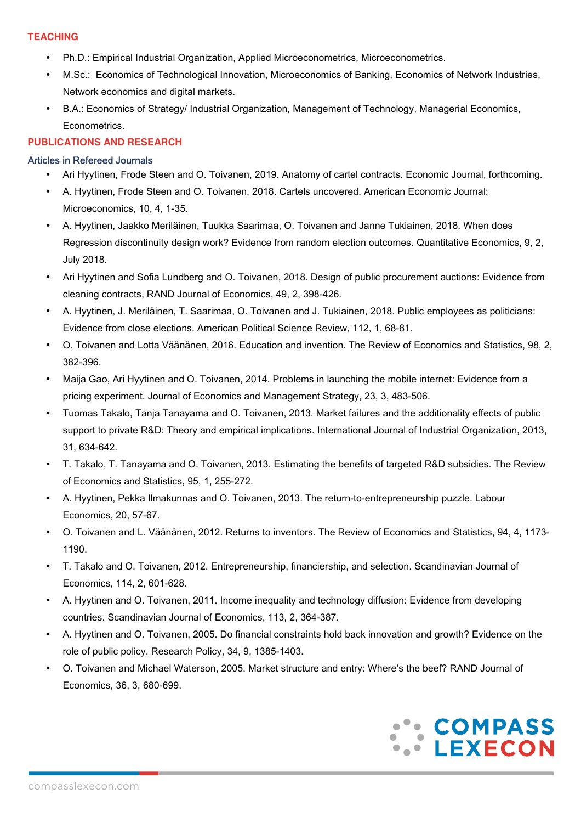# **TEACHING**

- Ph.D.: Empirical Industrial Organization, Applied Microeconometrics, Microeconometrics.
- M.Sc.: Economics of Technological Innovation, Microeconomics of Banking, Economics of Network Industries, Network economics and digital markets.
- B.A.: Economics of Strategy/ Industrial Organization, Management of Technology, Managerial Economics, Econometrics.

# **PUBLICATIONS AND RESEARCH**

# Articles in Refereed Journals

- Ari Hyytinen, Frode Steen and O. Toivanen, 2019. Anatomy of cartel contracts. Economic Journal, forthcoming.
- A. Hyytinen, Frode Steen and O. Toivanen, 2018. Cartels uncovered. American Economic Journal: Microeconomics, 10, 4, 1-35.
- A. Hyytinen, Jaakko Meriläinen, Tuukka Saarimaa, O. Toivanen and Janne Tukiainen, 2018. When does Regression discontinuity design work? Evidence from random election outcomes. Quantitative Economics, 9, 2, July 2018.
- Ari Hyytinen and Sofia Lundberg and O. Toivanen, 2018. Design of public procurement auctions: Evidence from cleaning contracts, RAND Journal of Economics, 49, 2, 398-426.
- A. Hyytinen, J. Meriläinen, T. Saarimaa, O. Toivanen and J. Tukiainen, 2018. Public employees as politicians: Evidence from close elections. American Political Science Review, 112, 1, 68-81.
- O. Toivanen and Lotta Väänänen, 2016. Education and invention. The Review of Economics and Statistics, 98, 2, 382-396.
- Maija Gao, Ari Hyytinen and O. Toivanen, 2014. Problems in launching the mobile internet: Evidence from a pricing experiment. Journal of Economics and Management Strategy, 23, 3, 483-506.
- Tuomas Takalo, Tanja Tanayama and O. Toivanen, 2013. Market failures and the additionality effects of public support to private R&D: Theory and empirical implications. International Journal of Industrial Organization, 2013, 31, 634-642.
- T. Takalo, T. Tanayama and O. Toivanen, 2013. Estimating the benefits of targeted R&D subsidies. The Review of Economics and Statistics, 95, 1, 255-272.
- A. Hyytinen, Pekka Ilmakunnas and O. Toivanen, 2013. The return-to-entrepreneurship puzzle. Labour Economics, 20, 57-67.
- O. Toivanen and L. Väänänen, 2012. Returns to inventors. The Review of Economics and Statistics, 94, 4, 1173- 1190.
- T. Takalo and O. Toivanen, 2012. Entrepreneurship, financiership, and selection. Scandinavian Journal of Economics, 114, 2, 601-628.
- A. Hyytinen and O. Toivanen, 2011. Income inequality and technology diffusion: Evidence from developing countries. Scandinavian Journal of Economics, 113, 2, 364-387.
- A. Hyytinen and O. Toivanen, 2005. Do financial constraints hold back innovation and growth? Evidence on the role of public policy. Research Policy, 34, 9, 1385-1403.
- O. Toivanen and Michael Waterson, 2005. Market structure and entry: Where's the beef? RAND Journal of Economics, 36, 3, 680-699.

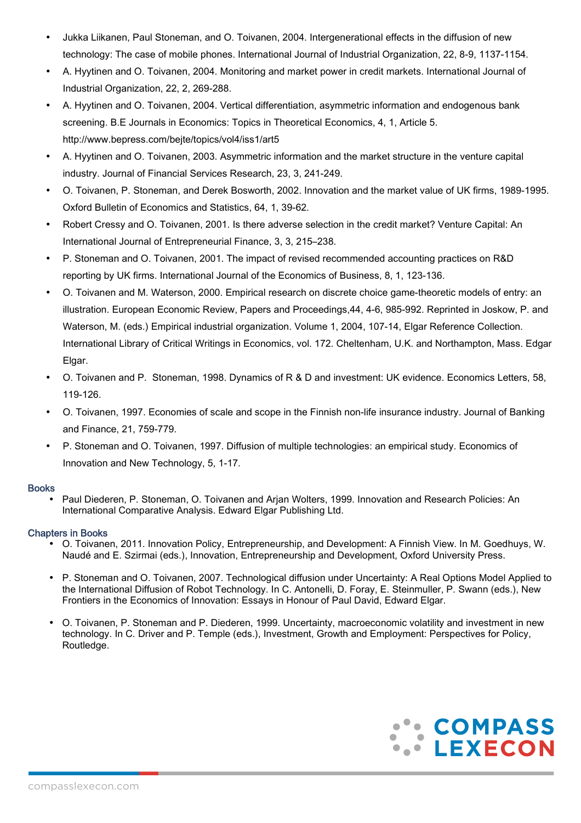- Jukka Liikanen, Paul Stoneman, and O. Toivanen, 2004. Intergenerational effects in the diffusion of new technology: The case of mobile phones. International Journal of Industrial Organization, 22, 8-9, 1137-1154.
- A. Hyytinen and O. Toivanen, 2004. Monitoring and market power in credit markets. International Journal of Industrial Organization, 22, 2, 269-288.
- A. Hyytinen and O. Toivanen, 2004. Vertical differentiation, asymmetric information and endogenous bank screening. B.E Journals in Economics: Topics in Theoretical Economics, 4, 1, Article 5. http://www.bepress.com/bejte/topics/vol4/iss1/art5
- A. Hyytinen and O. Toivanen, 2003. Asymmetric information and the market structure in the venture capital industry. Journal of Financial Services Research, 23, 3, 241-249.
- O. Toivanen, P. Stoneman, and Derek Bosworth, 2002. Innovation and the market value of UK firms, 1989-1995. Oxford Bulletin of Economics and Statistics, 64, 1, 39-62.
- Robert Cressy and O. Toivanen, 2001. Is there adverse selection in the credit market? Venture Capital: An International Journal of Entrepreneurial Finance, 3, 3, 215–238.
- P. Stoneman and O. Toivanen, 2001. The impact of revised recommended accounting practices on R&D reporting by UK firms. International Journal of the Economics of Business, 8, 1, 123-136.
- O. Toivanen and M. Waterson, 2000. Empirical research on discrete choice game-theoretic models of entry: an illustration. European Economic Review, Papers and Proceedings,44, 4-6, 985-992. Reprinted in Joskow, P. and Waterson, M. (eds.) Empirical industrial organization. Volume 1, 2004, 107-14, Elgar Reference Collection. International Library of Critical Writings in Economics, vol. 172. Cheltenham, U.K. and Northampton, Mass. Edgar Elgar.
- O. Toivanen and P. Stoneman, 1998. Dynamics of R & D and investment: UK evidence. Economics Letters, 58, 119-126.
- O. Toivanen, 1997. Economies of scale and scope in the Finnish non-life insurance industry. Journal of Banking and Finance, 21, 759-779.
- P. Stoneman and O. Toivanen, 1997. Diffusion of multiple technologies: an empirical study. Economics of Innovation and New Technology, 5, 1-17.

## Books

• Paul Diederen, P. Stoneman, O. Toivanen and Arjan Wolters, 1999. Innovation and Research Policies: An International Comparative Analysis. Edward Elgar Publishing Ltd.

# Chapters in Books

- O. Toivanen, 2011. Innovation Policy, Entrepreneurship, and Development: A Finnish View. In M. Goedhuys, W. Naudé and E. Szirmai (eds.), Innovation, Entrepreneurship and Development, Oxford University Press.
- P. Stoneman and O. Toivanen, 2007. Technological diffusion under Uncertainty: A Real Options Model Applied to the International Diffusion of Robot Technology. In C. Antonelli, D. Foray, E. Steinmuller, P. Swann (eds.), New Frontiers in the Economics of Innovation: Essays in Honour of Paul David, Edward Elgar.
- O. Toivanen, P. Stoneman and P. Diederen, 1999. Uncertainty, macroeconomic volatility and investment in new technology. In C. Driver and P. Temple (eds.), Investment, Growth and Employment: Perspectives for Policy, Routledge.

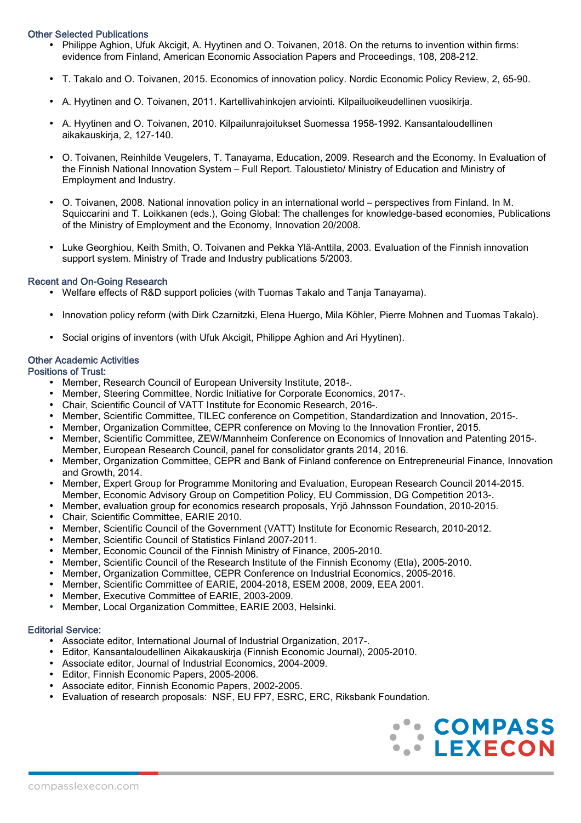#### Other Selected Publications

- Philippe Aghion, Ufuk Akcigit, A. Hyytinen and O. Toivanen, 2018. On the returns to invention within firms: evidence from Finland, American Economic Association Papers and Proceedings, 108, 208-212.
- T. Takalo and O. Toivanen, 2015. Economics of innovation policy. Nordic Economic Policy Review, 2, 65-90.
- A. Hyytinen and O. Toivanen, 2011. Kartellivahinkojen arviointi. Kilpailuoikeudellinen vuosikirja.
- A. Hyytinen and O. Toivanen, 2010. Kilpailunrajoitukset Suomessa 1958-1992. Kansantaloudellinen aikakauskirja, 2, 127-140.
- O. Toivanen, Reinhilde Veugelers, T. Tanayama, Education, 2009. Research and the Economy. In Evaluation of the Finnish National Innovation System – Full Report. Taloustieto/ Ministry of Education and Ministry of Employment and Industry.
- O. Toivanen, 2008. National innovation policy in an international world perspectives from Finland. In M. Squiccarini and T. Loikkanen (eds.), Going Global: The challenges for knowledge-based economies, Publications of the Ministry of Employment and the Economy, Innovation 20/2008.
- Luke Georghiou, Keith Smith, O. Toivanen and Pekka Ylä-Anttila, 2003. Evaluation of the Finnish innovation support system. Ministry of Trade and Industry publications 5/2003.

#### Recent and On-Going Research

- Welfare effects of R&D support policies (with Tuomas Takalo and Tanja Tanayama).
- Innovation policy reform (with Dirk Czarnitzki, Elena Huergo, Mila Köhler, Pierre Mohnen and Tuomas Takalo).
- Social origins of inventors (with Ufuk Akcigit, Philippe Aghion and Ari Hyytinen).

#### Other Academic Activities

Positions of Trust:

- Member, Research Council of European University Institute, 2018-.
- Member, Steering Committee, Nordic Initiative for Corporate Economics, 2017-.
- Chair, Scientific Council of VATT Institute for Economic Research, 2016-.
- Member, Scientific Committee, TILEC conference on Competition, Standardization and Innovation, 2015-.
- Member, Organization Committee, CEPR conference on Moving to the Innovation Frontier, 2015.
- Member, Scientific Committee, ZEW/Mannheim Conference on Economics of Innovation and Patenting 2015-. Member, European Research Council, panel for consolidator grants 2014, 2016.
- Member, Organization Committee, CEPR and Bank of Finland conference on Entrepreneurial Finance, Innovation and Growth, 2014.
- Member, Expert Group for Programme Monitoring and Evaluation, European Research Council 2014-2015. Member, Economic Advisory Group on Competition Policy, EU Commission, DG Competition 2013-.
- Member, evaluation group for economics research proposals, Yrjö Jahnsson Foundation, 2010-2015.
- Chair, Scientific Committee, EARIE 2010.
- Member, Scientific Council of the Government (VATT) Institute for Economic Research, 2010-2012.
- Member, Scientific Council of Statistics Finland 2007-2011.
- Member, Economic Council of the Finnish Ministry of Finance, 2005-2010.
- Member, Scientific Council of the Research Institute of the Finnish Economy (Etla), 2005-2010.
- Member, Organization Committee, CEPR Conference on Industrial Economics, 2005-2016.
- Member, Scientific Committee of EARIE, 2004-2018, ESEM 2008, 2009, EEA 2001.
- Member, Executive Committee of EARIE, 2003-2009.
- Member, Local Organization Committee, EARIE 2003, Helsinki.

# Editorial Service:

- Associate editor, International Journal of Industrial Organization, 2017-.
- Editor, Kansantaloudellinen Aikakauskirja (Finnish Economic Journal), 2005-2010.
- Associate editor, Journal of Industrial Economics, 2004-2009.
- Editor, Finnish Economic Papers, 2005-2006.
- Associate editor, Finnish Economic Papers, 2002-2005.
- Evaluation of research proposals: NSF, EU FP7, ESRC, ERC, Riksbank Foundation.